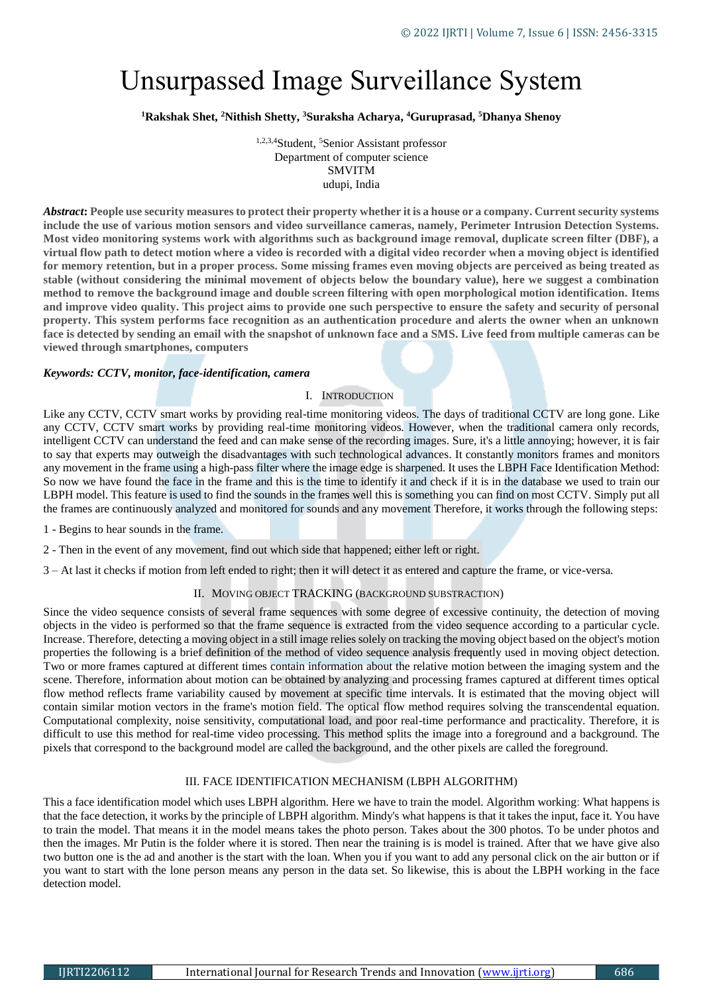# Unsurpassed Image Surveillance System

## **<sup>1</sup>Rakshak Shet, <sup>2</sup>Nithish Shetty, <sup>3</sup>Suraksha Acharya, <sup>4</sup>Guruprasad, <sup>5</sup>Dhanya Shenoy**

1,2,3,4Student, <sup>5</sup>Senior Assistant professor Department of computer science SMVITM udupi, India

*Abstract***: People use security measures to protect their property whether it is a house or a company. Current security systems include the use of various motion sensors and video surveillance cameras, namely, Perimeter Intrusion Detection Systems. Most video monitoring systems work with algorithms such as background image removal, duplicate screen filter (DBF), a virtual flow path to detect motion where a video is recorded with a digital video recorder when a moving object is identified for memory retention, but in a proper process. Some missing frames even moving objects are perceived as being treated as stable (without considering the minimal movement of objects below the boundary value), here we suggest a combination method to remove the background image and double screen filtering with open morphological motion identification. Items and improve video quality. This project aims to provide one such perspective to ensure the safety and security of personal property. This system performs face recognition as an authentication procedure and alerts the owner when an unknown face is detected by sending an email with the snapshot of unknown face and a SMS. Live feed from multiple cameras can be viewed through smartphones, computers**

#### *Keywords: CCTV, monitor, face-identification, camera*

#### I. INTRODUCTION

Like any CCTV, CCTV smart works by providing real-time monitoring videos. The days of traditional CCTV are long gone. Like any CCTV, CCTV smart works by providing real-time monitoring videos. However, when the traditional camera only records, intelligent CCTV can understand the feed and can make sense of the recording images. Sure, it's a little annoying; however, it is fair to say that experts may outweigh the disadvantages with such technological advances. It constantly monitors frames and monitors any movement in the frame using a high-pass filter where the image edge is sharpened. It uses the LBPH Face Identification Method: So now we have found the face in the frame and this is the time to identify it and check if it is in the database we used to train our LBPH model. This feature is used to find the sounds in the frames well this is something you can find on most CCTV. Simply put all the frames are continuously analyzed and monitored for sounds and any movement Therefore, it works through the following steps:

1 - Begins to hear sounds in the frame.

- 2 Then in the event of any movement, find out which side that happened; either left or right.
- 3 At last it checks if motion from left ended to right; then it will detect it as entered and capture the frame, or vice-versa.

## II. MOVING OBJECT TRACKING (BACKGROUND SUBSTRACTION)

Since the video sequence consists of several frame sequences with some degree of excessive continuity, the detection of moving objects in the video is performed so that the frame sequence is extracted from the video sequence according to a particular cycle. Increase. Therefore, detecting a moving object in a still image relies solely on tracking the moving object based on the object's motion properties the following is a brief definition of the method of video sequence analysis frequently used in moving object detection. Two or more frames captured at different times contain information about the relative motion between the imaging system and the scene. Therefore, information about motion can be obtained by analyzing and processing frames captured at different times optical flow method reflects frame variability caused by movement at specific time intervals. It is estimated that the moving object will contain similar motion vectors in the frame's motion field. The optical flow method requires solving the transcendental equation. Computational complexity, noise sensitivity, computational load, and poor real-time performance and practicality. Therefore, it is difficult to use this method for real-time video processing. This method splits the image into a foreground and a background. The pixels that correspond to the background model are called the background, and the other pixels are called the foreground.

## III. FACE IDENTIFICATION MECHANISM (LBPH ALGORITHM)

This a face identification model which uses LBPH algorithm. Here we have to train the model. Algorithm working: What happens is that the face detection, it works by the principle of LBPH algorithm. Mindy's what happens is that it takes the input, face it. You have to train the model. That means it in the model means takes the photo person. Takes about the 300 photos. To be under photos and then the images. Mr Putin is the folder where it is stored. Then near the training is is model is trained. After that we have give also two button one is the ad and another is the start with the loan. When you if you want to add any personal click on the air button or if you want to start with the lone person means any person in the data set. So likewise, this is about the LBPH working in the face detection model.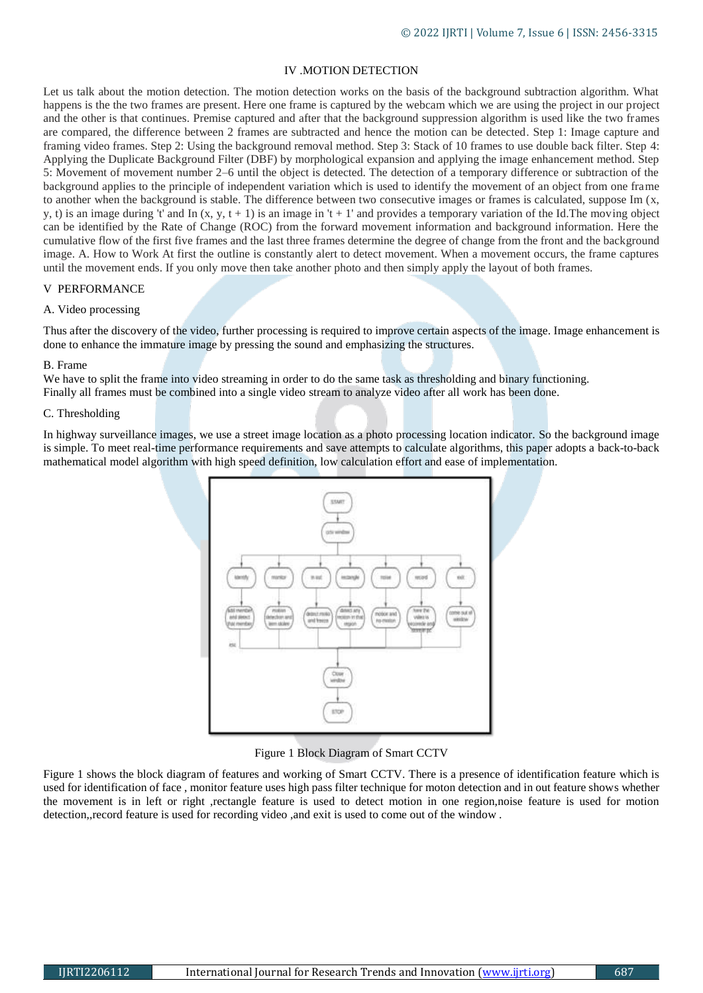# IV .MOTION DETECTION

Let us talk about the motion detection. The motion detection works on the basis of the background subtraction algorithm. What happens is the the two frames are present. Here one frame is captured by the webcam which we are using the project in our project and the other is that continues. Premise captured and after that the background suppression algorithm is used like the two frames are compared, the difference between 2 frames are subtracted and hence the motion can be detected. Step 1: Image capture and framing video frames. Step 2: Using the background removal method. Step 3: Stack of 10 frames to use double back filter. Step 4: Applying the Duplicate Background Filter (DBF) by morphological expansion and applying the image enhancement method. Step 5: Movement of movement number 2–6 until the object is detected. The detection of a temporary difference or subtraction of the background applies to the principle of independent variation which is used to identify the movement of an object from one frame to another when the background is stable. The difference between two consecutive images or frames is calculated, suppose Im (x, y, t) is an image during 't' and In  $(x, y, t + 1)$  is an image in 't + 1' and provides a temporary variation of the Id. The moving object can be identified by the Rate of Change (ROC) from the forward movement information and background information. Here the cumulative flow of the first five frames and the last three frames determine the degree of change from the front and the background image. A. How to Work At first the outline is constantly alert to detect movement. When a movement occurs, the frame captures until the movement ends. If you only move then take another photo and then simply apply the layout of both frames.

## V PERFORMANCE

#### A. Video processing

Thus after the discovery of the video, further processing is required to improve certain aspects of the image. Image enhancement is done to enhance the immature image by pressing the sound and emphasizing the structures.

#### B. Frame

We have to split the frame into video streaming in order to do the same task as thresholding and binary functioning. Finally all frames must be combined into a single video stream to analyze video after all work has been done.

#### C. Thresholding

In highway surveillance images, we use a street image location as a photo processing location indicator. So the background image is simple. To meet real-time performance requirements and save attempts to calculate algorithms, this paper adopts a back-to-back mathematical model algorithm with high speed definition, low calculation effort and ease of implementation.



Figure 1 Block Diagram of Smart CCTV

Figure 1 shows the block diagram of features and working of Smart CCTV. There is a presence of identification feature which is used for identification of face , monitor feature uses high pass filter technique for moton detection and in out feature shows whether the movement is in left or right ,rectangle feature is used to detect motion in one region,noise feature is used for motion detection,,record feature is used for recording video ,and exit is used to come out of the window .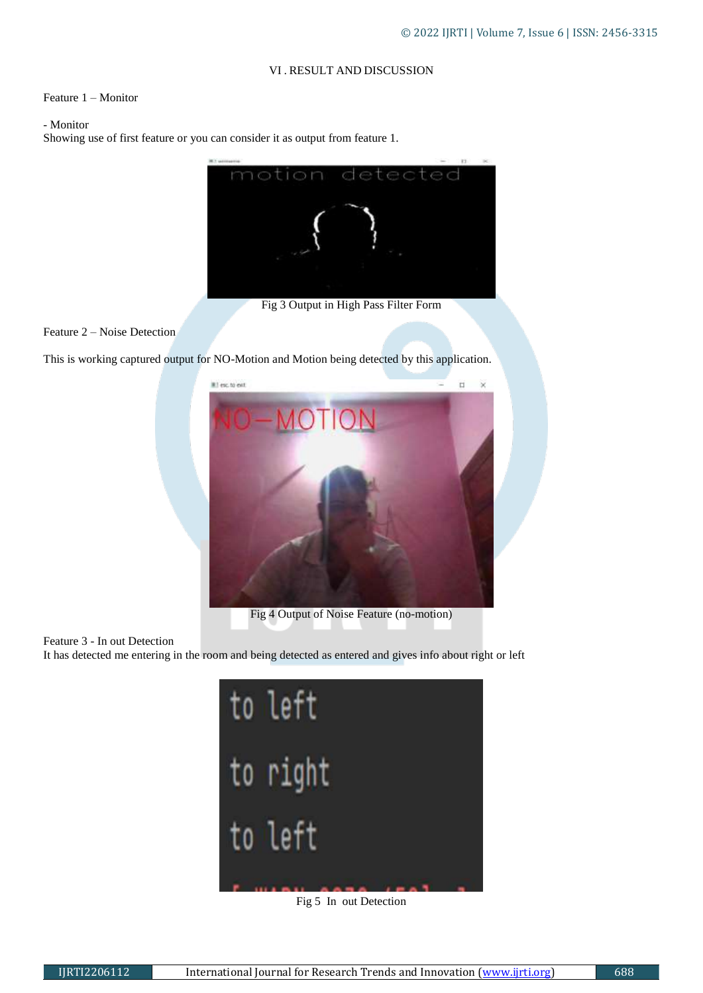# VI . RESULT AND DISCUSSION

## Feature 1 – Monitor

# - Monitor

Showing use of first feature or you can consider it as output from feature 1.



Fig 3 Output in High Pass Filter Form

## Feature 2 – Noise Detection

This is working captured output for NO-Motion and Motion being detected by this application.



#### Feature 3 - In out Detection

It has detected me entering in the room and being detected as entered and gives info about right or left



Fig 5 In out Detection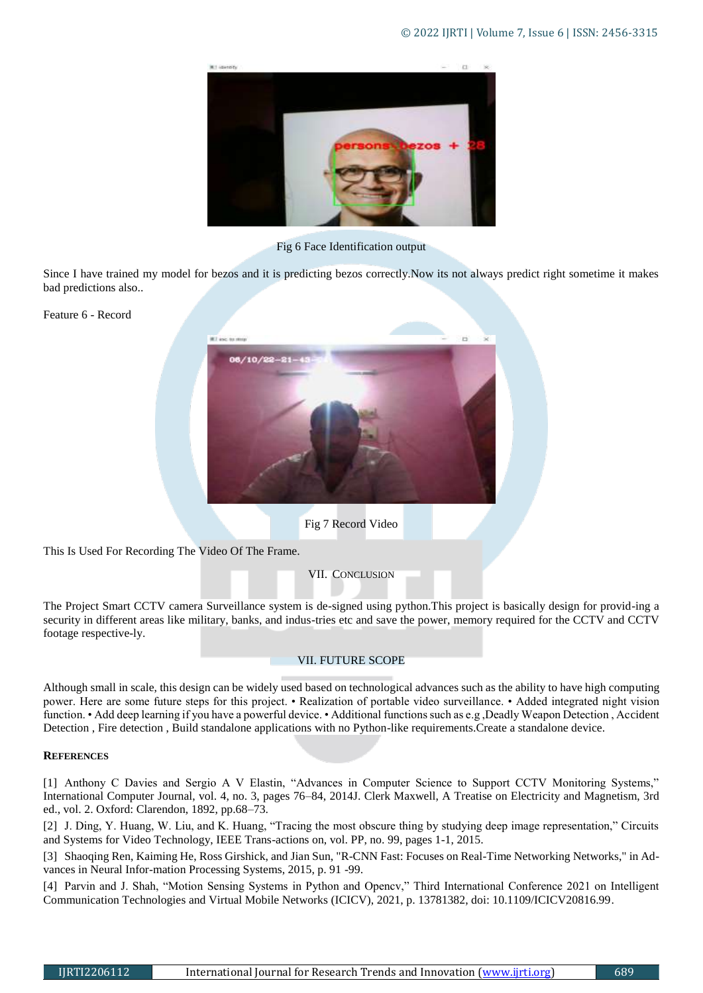

Fig 6 Face Identification output

Since I have trained my model for bezos and it is predicting bezos correctly.Now its not always predict right sometime it makes bad predictions also..

Feature 6 - Record





This Is Used For Recording The Video Of The Frame.

VII. CONCLUSION

The Project Smart CCTV camera Surveillance system is de-signed using python.This project is basically design for provid-ing a security in different areas like military, banks, and indus-tries etc and save the power, memory required for the CCTV and CCTV footage respective-ly.

## VII. FUTURE SCOPE

Although small in scale, this design can be widely used based on technological advances such as the ability to have high computing power. Here are some future steps for this project. • Realization of portable video surveillance. • Added integrated night vision function. • Add deep learning if you have a powerful device. • Additional functions such as e.g ,Deadly Weapon Detection , Accident Detection , Fire detection , Build standalone applications with no Python-like requirements.Create a standalone device.

#### **REFERENCES**

[1] Anthony C Davies and Sergio A V Elastin, "Advances in Computer Science to Support CCTV Monitoring Systems," International Computer Journal, vol. 4, no. 3, pages 76–84, 2014J. Clerk Maxwell, A Treatise on Electricity and Magnetism, 3rd ed., vol. 2. Oxford: Clarendon, 1892, pp.68–73.

[2] J. Ding, Y. Huang, W. Liu, and K. Huang, "Tracing the most obscure thing by studying deep image representation," Circuits and Systems for Video Technology, IEEE Trans-actions on, vol. PP, no. 99, pages 1-1, 2015.

[3] Shaoqing Ren, Kaiming He, Ross Girshick, and Jian Sun, "R-CNN Fast: Focuses on Real-Time Networking Networks," in Advances in Neural Infor-mation Processing Systems, 2015, p. 91 -99.

[4] Parvin and J. Shah, "Motion Sensing Systems in Python and Opencv," Third International Conference 2021 on Intelligent Communication Technologies and Virtual Mobile Networks (ICICV), 2021, p. 13781382, doi: 10.1109/ICICV20816.99.